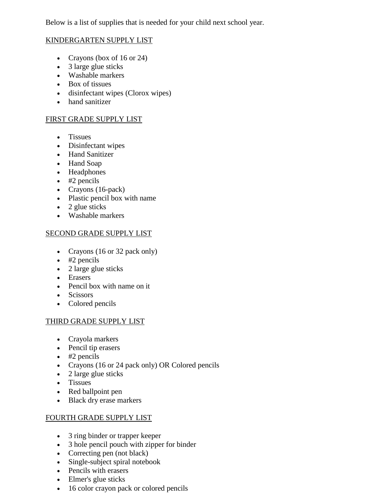Below is a list of supplies that is needed for your child next school year.

#### KINDERGARTEN SUPPLY LIST

- Crayons (box of 16 or 24)
- 3 large glue sticks
- Washable markers
- Box of tissues
- disinfectant wipes (Clorox wipes)
- hand sanitizer

#### FIRST GRADE SUPPLY LIST

- Tissues
- Disinfectant wipes
- Hand Sanitizer
- Hand Soap
- Headphones
- $\bullet$  #2 pencils
- Crayons (16-pack)
- Plastic pencil box with name
- $\bullet$  2 glue sticks
- Washable markers

#### SECOND GRADE SUPPLY LIST

- Crayons (16 or 32 pack only)
- $\bullet$  #2 pencils
- 2 large glue sticks
- Erasers
- Pencil box with name on it
- Scissors
- Colored pencils

# THIRD GRADE SUPPLY LIST

- Crayola markers
- Pencil tip erasers
- $\bullet$  #2 pencils
- Crayons (16 or 24 pack only) OR Colored pencils
- 2 large glue sticks
- Tissues
- Red ballpoint pen
- Black dry erase markers

# FOURTH GRADE SUPPLY LIST

- 3 ring binder or trapper keeper
- 3 hole pencil pouch with zipper for binder
- Correcting pen (not black)
- Single-subject spiral notebook
- Pencils with erasers
- Elmer's glue sticks
- 16 color crayon pack or colored pencils